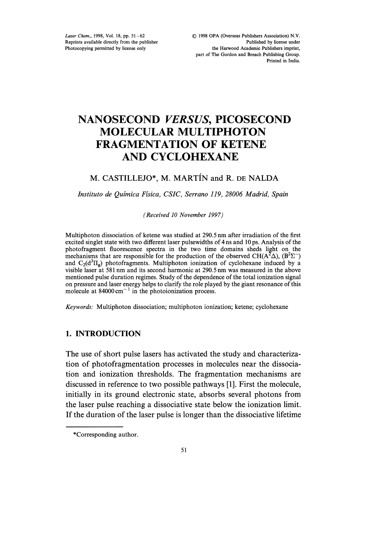Laser Chem., 1998, Vol. 18, pp. 51-62 Reprints available directly from the publisher Photocopying permitted by license only

# NANOSECOND VERSUS, PICOSECOND MOLECULAR MULTIPHOTON FRAGMENTATION OF KETENE AND CYCLOHEXANE

# M. CASTILLEJO\*, M. MARTÍN and R. DE NALDA

Instituto de Quimica Fisica, CSIC, Serrano 119, 28006 Madrid, Spain

(Received 10 November 1997)

Multiphoton dissociation of ketene was studied at 290.5 nm after irradiation of the first excited singlet state with two different laser pulsewidths of 4 ns and 10 ps. Analysis of the photofragment fluorescence spectra in the two time domains sheds light on the mechanisms that are responsible for the production of the observed CH( $A^2\Delta$ ), ( $B^2\Sigma^-$ ) and  $C_2(d^3\Pi_g)$  photofragments. Multiphoton ionization of cyclohexane induced by a visible laser at <sup>581</sup> nm and its second harmonic at 290.5 nm was measured in the above mentioned pulse duration regimes. Study of the dependence of the total ionization signal on pressure and laser energy helps to clarify the role played by the giant resonance of this molecule at  $84000 \text{ cm}^{-1}$  in the photoionization process.

Keywords." Multiphoton dissociation; multiphoton ionization; ketene; cyclohexane

## 1. INTRODUCTION

The use of short pulse lasers has activated the study and characterization of photofragmentation processes in molecules near the dissociation and ionization thresholds. The fragmentation mechanisms are discussed in reference to two possible pathways [1]. First the molecule, initially in its ground electronic state, absorbs several photons from the laser pulse reaching a dissociative state below the ionization limit. If the duration of the laser pulse is longer than the dissociative lifetime

<sup>\*</sup>Corresponding author.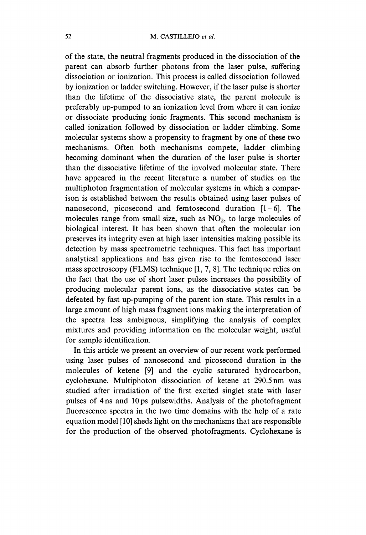of the state, the neutral fragments produced in the dissociation of the parent can absorb further photons from the laser pulse, suffering dissociation or ionization. This process is called dissociation followed by ionization or ladder switching. However, if the laser pulse is shorter than the lifetime of the dissociative state, the parent molecule is preferably up-pumped to an ionization level from where it can ionize or dissociate producing ionic fragments. This second mechanism is called ionization followed by dissociation or ladder climbing. Some molecular systems show a propensity to fragment by one of these two mechanisms. Often both mechanisms compete, ladder climbing becoming dominant when the duration of the laser pulse is shorter than the' dissociative lifetime of the involved molecular state. There have appeared in the recent literature a number of studies on the multiphoton fragmentation of molecular systems in which a comparison is established between the results obtained using laser pulses of nanosecond, picosecond and femtosecond duration  $[1-6]$ . The molecules range from small size, such as  $NO<sub>2</sub>$ , to large molecules of biological interest. It has been shown that often the molecular ion preserves its integrity even at high laser intensities making possible its detection by mass spectrometric techniques. This fact has important analytical applications and has given rise to the femtosecond laser mass spectroscopy (FLMS) technique [1, 7, 8]. The technique relies on the fact that the use of short laser pulses increases the possibility of producing molecular parent ions, as the dissociative states can be defeated by fast up-pumping of the parent ion state. This results in a large amount of high mass fragment ions making the interpretation of the spectra less ambiguous, simplifying the analysis of complex mixtures and providing information on the molecular weight, useful for sample identification.

In this article we present an overview of our recent work performed using laser pulses of nanosecond and picosecond duration in the molecules of ketene [9] and the cyclic saturated hydrocarbon, cyclohexane. Multiphoton dissociation of ketene at 290.5nm was studied after irradiation of the first excited singlet state with laser pulses of 4 ns and 10ps pulsewidths. Analysis of the photofragment fluorescence spectra in the two time domains with the help of a rate equation model [10] sheds light on the mechanisms that are responsible for the production of the observed photofragments. Cyclohexane is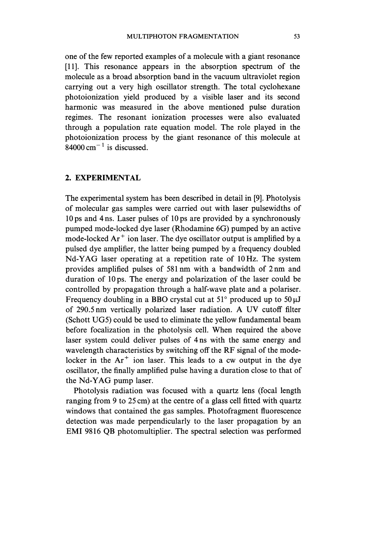one of the few reported examples of a molecule with a giant resonance [11]. This resonance appears in the absorption spectrum of the molecule as a broad absorption band in the vacuum ultraviolet region carrying out a very high oscillator strength. The total cyclohexane photoionization yield produced by a visible laser and its second harmonic was measured in the above mentioned pulse duration regimes. The resonant ionization processes were also evaluated through a population rate equation model. The role played in the photoionization process by the giant resonance of this molecule at  $84000 \text{ cm}^{-1}$  is discussed.

# 2. EXPERIMENTAL

The experimental system has been described in detail in [9]. Photolysis of molecular gas samples were carried out with laser pulsewidths of 10 ps and 4 ns. Laser pulses of 10 ps are provided by a synchronously pumped mode-locked dye laser (Rhodamine 6G) pumped by an active mode-locked  $Ar^+$  ion laser. The dye oscillator output is amplified by a pulsed dye amplifier, the latter being pumped by a frequency doubled Nd-YAG laser operating at <sup>a</sup> repetition rate of <sup>10</sup> Hz. The system provides amplified pulses of <sup>581</sup> nm with <sup>a</sup> bandwidth of <sup>2</sup> nm and duration of 10 ps. The energy and polarization of the laser could be controlled by propagation through a half-wave plate and a polariser. Frequency doubling in a BBO crystal cut at 51 $^{\circ}$  produced up to 50  $\mu$ J of 290.5 nm vertically polarized laser radiation. A UV cutoff filter (Schott UG5) could be used to eliminate the yellow fundamental beam before focalization in the photolysis cell. When required the above laser system could deliver pulses of 4 ns with the same energy and wavelength characteristics by switching off the RF signal of the modelocker in the  $Ar^+$  ion laser. This leads to a cw output in the dye oscillator, the finally amplified pulse having a duration close to that of the Nd-YAG pump laser.

Photolysis radiation was focused with a quartz lens (focal length ranging from 9 to 25 cm) at the centre of a glass cell fitted with quartz windows that contained the gas samples. Photofragment fluorescence detection was made perpendicularly to the laser propagation by an EMI 9816 QB photomultiplier. The spectral selection was performed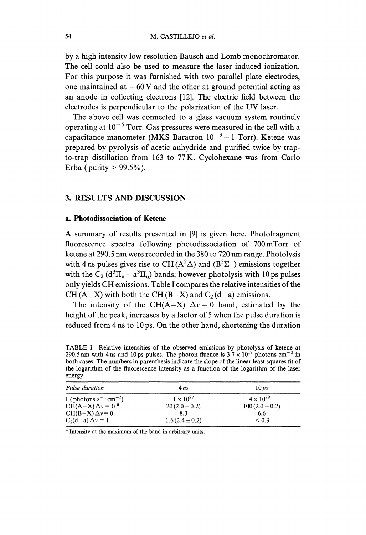by a high intensity low resolution Bausch and Lomb monochromator. The cell could also be used to measure the laser induced ionization. For this purpose it was furnished with two parallel plate electrodes, one maintained at  $-60$  V and the other at ground potential acting as an anode in collecting electrons [12]. The electric field between the electrodes is perpendicular to the polarization of the UV laser.

The above cell was connected to a glass vacuum system routinely operating at  $10^{-5}$  Torr. Gas pressures were measured in the cell with a capacitance manometer (MKS Baratron  $10^{-3} - 1$  Torr). Ketene was prepared by pyrolysis of acetic anhydride and purified twice by trapto-trap distillation from 163 to 77 K. Cyclohexane was from Carlo Erba (purity  $> 99.5\%$ ).

#### 3. RESULTS AND DISCUSSION

# a. Photodissociation of Ketene

A summary of results presented in [9] is given here. Photofragment fluorescence spectra following photodissociation of 700mTorr of ketene at 290.5 nm were recorded in the <sup>380</sup> to 720 nm range. Photolysis with 4 ns pulses gives rise to CH ( $A^2\Delta$ ) and ( $B^2\Sigma^-$ ) emissions together with the  $C_2$  (d<sup>3</sup> $\Pi_g - a^3 \Pi_u$ ) bands; however photolysis with 10 ps pulses only yields CH emissions. Table <sup>I</sup> compares the relative intensities of the CH  $(A-X)$  with both the CH  $(B-X)$  and  $C_2(d-a)$  emissions.

The intensity of the CH(A-X)  $\Delta v = 0$  band, estimated by the height of the peak, increases by a factor of 5 when the pulse duration is reduced from 4 ns to <sup>10</sup> ps. On the other hand, shortening the duration

**TABLE I** Relative intensities of the observed emissions by photolysis of ketene at 290.5 nm with 4 ns and 10 ps pulses. The photon fluence is  $3.7 \times 10^{18}$  photons cm<sup>-2</sup> in both cases. The numbers in parenthesis indicate the slope of the linear least squares fit of the logarithm of the fluorescence intensity as a function of the logarithm of the laser energy

| Pulse duration                         | 4ns                | 10 ps              |
|----------------------------------------|--------------------|--------------------|
| I (photons $s^{-1}$ cm <sup>-2</sup> ) | $1 \times 10^{27}$ | $4 \times 10^{29}$ |
| $CH(A-X) \Delta v = 0$ <sup>a</sup>    | $20(2.0 \pm 0.2)$  | $100(2.0 \pm 0.2)$ |
| $CH(B-X)\Delta v=0$                    | 8.3                | 6.6                |
| $C_2(d-a)\Delta v = 1$                 | $1.6(2.4 \pm 0.2)$ | ${}_{0.3}$         |

<sup>a</sup> Intensity at the maximum of the band in arbitrary units.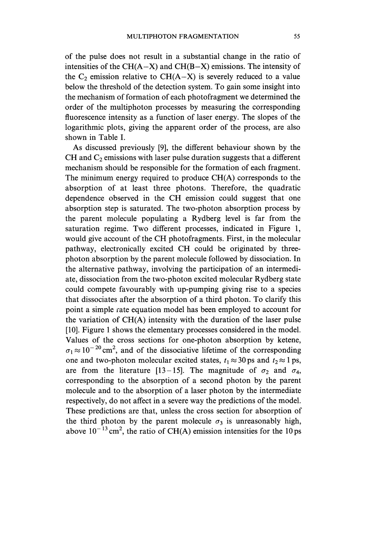of the pulse does not result in a substantial change in the ratio of intensities of the  $CH(A-X)$  and  $CH(B-X)$  emissions. The intensity of the  $C_2$  emission relative to  $CH(A-X)$  is severely reduced to a value below the threshold of the detection system. To gain some insight into the mechanism of formation of each photofragment we determined the order of the multiphoton processes by measuring the corresponding fluorescence intensity as a function of laser energy. The slopes of the logarithmic plots, giving the apparent order of the process, are also shown in Table I.

As discussed previously [9], the different behaviour shown by the CH and  $C_2$  emissions with laser pulse duration suggests that a different mechanism should be responsible for the formation of each fragment. The minimum energy required to produce CH(A) corresponds to the absorption of at least three photons. Therefore, the quadratic dependence observed in the CH emission could suggest that one absorption step is saturated. The two-photon absorption process by the parent molecule populating a Rydberg level is far from the saturation regime. Two different processes, indicated in Figure 1, would give account of the CH photofragments. First, in the molecular pathway, electronically excited CH could be originated by threephoton absorption by the parent molecule followed by dissociation. In the alternative pathway, involving the participation of an intermediate, dissociation from the two-photon excited molecular Rydberg state could compete favourably with up-pumping giving rise to a species that dissociates after the absorption of a third photon. To clarify this point a simple rate equation model has been employed to account for the variation of CH(A) intensity with the duration of the laser pulse [10]. Figure 1 shows the elementary processes considered in the model. Values of the cross sections for one-photon absorption by ketene,  $\sigma_1 \approx 10^{-20}$  cm<sup>2</sup>, and of the dissociative lifetime of the corresponding one and two-photon molecular excited states,  $t_1 \approx 30$  ps and  $t_2 \approx 1$  ps, are from the literature [13-15]. The magnitude of  $\sigma_2$  and  $\sigma_4$ , corresponding to the absorption of a second photon by the parent molecule and to the absorption of a laser photon by the intermediate respectively, do not affect in a severe way the predictions of the model. These predictions are that, unless the cross section for absorption of the third photon by the parent molecule  $\sigma_3$  is unreasonably high, above  $10^{-13}$  cm<sup>2</sup>, the ratio of CH(A) emission intensities for the 10 ps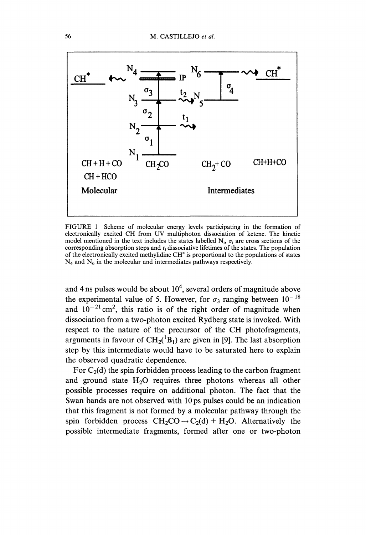

FIGURE 1 Scheme of molecular energy levels participating in the formation of electronically excited CH from UV multiphoton dissociation of ketene. The kinetic model mentioned in the text includes the states labelled  $N_i$ ,  $\sigma_i$  are cross sections of the corresponding absorption steps and  $t_i$  dissociative lifetimes of the states. The population of the electronically excited methylidine CH\* is proportional to the populations of states  $N_4$  and  $N_6$  in the molecular and intermediates pathways respectively.

and 4 ns pulses would be about  $10<sup>4</sup>$ , several orders of magnitude above the experimental value of 5. However, for  $\sigma_3$  ranging between  $10^{-18}$ and  $10^{-21}$  cm<sup>2</sup>, this ratio is of the right order of magnitude when dissociation from a two-photon excited Rydberg state is invoked. With respect to the nature of the precursor of the CH photofragments, arguments in favour of  $CH_2(^1B_1)$  are given in [9]. The last absorption step by this intermediate would have to be saturated here to explain the observed quadratic dependence.

For  $C_2(d)$  the spin forbidden process leading to the carbon fragment and ground state  $H_2O$  requires three photons whereas all other possible processes require on additional photon. The fact that the Swan bands are not observed with 10 ps pulses could be an indication that this fragment is not formed by a molecular pathway through the spin forbidden process  $CH_2CO \rightarrow C_2(d) + H_2O$ . Alternatively the possible intermediate fragments, formed after one or two-photon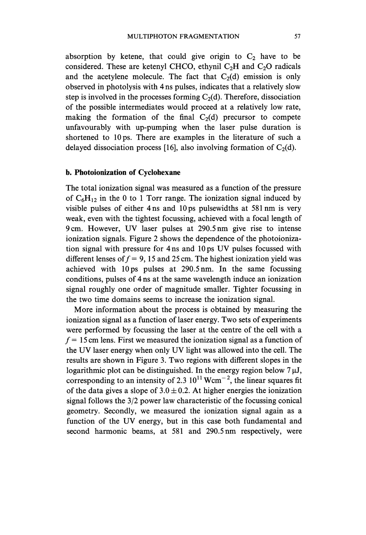absorption by ketene, that could give origin to  $C_2$  have to be considered. These are ketenyl CHCO, ethynil  $C_2H$  and  $C_2O$  radicals and the acetylene molecule. The fact that  $C_2(d)$  emission is only observed in photolysis with 4 ns pulses, indicates that a relatively slow step is involved in the processes forming  $C_2(d)$ . Therefore, dissociation of the possible intermediates would proceed at a relatively low rate, making the formation of the final  $C_2(d)$  precursor to compete unfavourably with up-pumping when the laser pulse duration is shortened to 10ps. There are examples in the literature of such a delayed dissociation process [16], also involving formation of  $C_2(d)$ .

# b. Photoionization of Cyclohexane

The total ionization signal was measured as a function of the pressure of  $C_6H_{12}$  in the 0 to 1 Torr range. The ionization signal induced by visible pulses of either 4 ns and 10ps pulsewidths at <sup>581</sup> nm is very weak, even with the tightest focussing, achieved with a focal length of 9cm. However, UV laser pulses at 290.5nm give rise to intense ionization signals. Figure 2 shows the dependence of the photoionization signal with pressure for <sup>4</sup> ns and <sup>10</sup> ps UV pulses focussed with different lenses of  $f = 9$ , 15 and 25 cm. The highest ionization yield was achieved with 10ps pulses at 290.5nm. In the same focussing conditions, pulses of 4 ns at the same wavelength induce an ionization signal roughly one order of magnitude smaller. Tighter focussing in the two time domains seems to increase the ionization signal.

More information about the process is obtained by measuring the ionization signal as a function of laser energy. Two sets of experiments were performed by focussing the laser at the centre of the cell with a  $f = 15$  cm lens. First we measured the ionization signal as a function of the UV laser energy when only UV light was allowed into the cell. The results are shown in Figure 3. Two regions with different slopes in the logarithmic plot can be distinguished. In the energy region below  $7 \mu J$ , corresponding to an intensity of 2.3  $10^{11}$  Wcm<sup>-2</sup>, the linear squares fit of the data gives a slope of  $3.0 \pm 0.2$ . At higher energies the ionization signal follows the 3/2 power law characteristic of the focussing conical geometry. Secondly, we measured the ionization signal again as a function of the UV energy, but in this case both fundamental and second harmonic beams, at 581 and 290.5nm respectively, were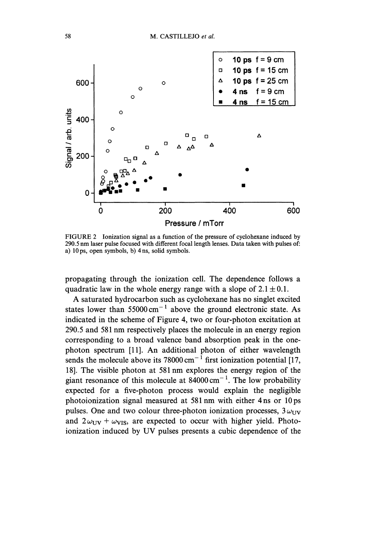

FIGURE <sup>2</sup> Ionization signal as <sup>a</sup> function of the pressure of cyclohexane induced by 290.5 nm laser pulse focused with different focal length lenses. Data taken with pulses of: a) 10 ps, open symbols, b) 4 ns, solid symbols.

propagating through the ionization cell. The dependence follows a quadratic law in the whole energy range with a slope of  $2.1 \pm 0.1$ .

A saturated hydrocarbon such as cyclohexane has no singlet excited states lower than  $55000 \text{ cm}^{-1}$  above the ground electronic state. As indicated in the scheme of Figure 4, two or four-photon excitation at 290.5 and <sup>581</sup> nm respectively places the molecule in an energy region corresponding to a broad valence band absorption peak in the onephoton spectrum [11]. An additional photon of either wavelength sends the molecule above its 78000 cm<sup>-1</sup> first ionization potential [17, 18]. The visible photon at <sup>581</sup> nm explores the energy region of the giant resonance of this molecule at  $84000 \text{ cm}^{-1}$ . The low probability expected for a five-photon process would explain the negligible photoionization signal measured at <sup>581</sup> nm with either 4 ns or 10ps pulses. One and two colour three-photon ionization processes,  $3\omega_{UV}$ and  $2\omega_{\text{UV}} + \omega_{\text{VIS}}$ , are expected to occur with higher yield. Photoionization induced by UV pulses presents <sup>a</sup> cubic dependence of the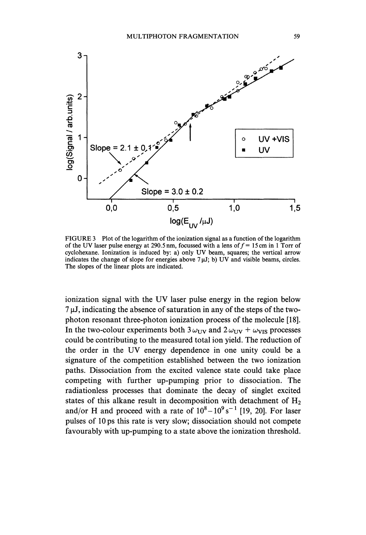

FIGURE <sup>3</sup> Plot of the logarithm of the ionization signal as <sup>a</sup> function of the logarithm of the UV laser pulse energy at 290.5 nm, focussed with a lens of  $f = 15$  cm in 1 Torr of cyclohexane. Ionization is induced by: a) only UV beam, squares; the vertical arrow indicates the change of slope for energies above  $7 \mu J$ ; b) UV and visible beams, circles. The slopes of the linear plots are indicated.

ionization signal with the UV laser pulse energy in the region below  $7 \mu$ J, indicating the absence of saturation in any of the steps of the twophoton resonant three-photon ionization process of the molecule [18]. In the two-colour experiments both  $3\omega_{\text{UV}}$  and  $2\omega_{\text{UV}} + \omega_{\text{VIS}}$  processes could be contributing to the measured total ion yield. The reduction of the order in the UV energy dependence in one unity could be <sup>a</sup> signature of the competition established between the two ionization paths. Dissociation from the excited valence state could take place competing with further up-pumping prior to dissociation. The radiationless processes that dominate the decay of singlet excited states of this alkane result in decomposition with detachment of  $H_2$ and/or H and proceed with a rate of  $10^8 - 10^9 s^{-1}$  [19, 20]. For laser pulses of 10 ps this rate is very slow; dissociation should not compete favourably with up-pumping to a state above the ionization threshold.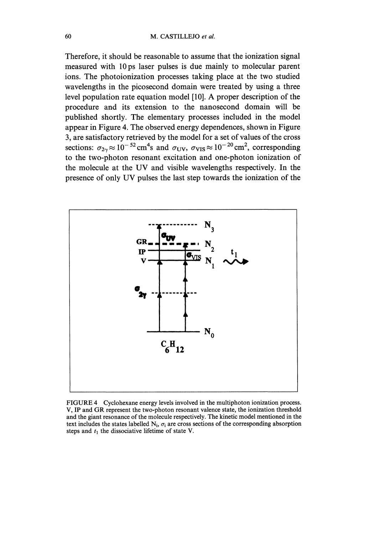Therefore, it should be reasonable to assume that the ionization signal measured with 10ps laser pulses is due mainly to molecular parent ions. The photoionization processes taking place at the two studied wavelengths in the picosecond domain were treated by using a three level population rate equation model [10]. A proper description of the procedure and its extension to the nanosecond domain will be published shortly. The elementary processes included in the model appear in Figure 4. The observed energy dependences, shown in Figure 3, are satisfactory retrieved by the model for a set of values of the cross sections:  $\sigma_{2\gamma} \approx 10^{-52}$  cm<sup>4</sup>s and  $\sigma_{UV}$ ,  $\sigma_{VIS} \approx 10^{-20}$  cm<sup>2</sup>, corresponding to the two-photon resonant excitation and one-photon ionization of the molecule at the UV and visible wavelengths respectively. In the presence of only UV pulses the last step towards the ionization of the



FIGURE 4 Cyclohexane energy levels involved in the multiphoton ionization process. V, IP and GR represent the two-photon resonant valence state, the ionization threshold and the giant resonance of the molecule respectively. The kinetic model mentioned in the text includes the states labelled  $N_i$ ,  $\sigma_i$  are cross sections of the corresponding absorption steps and  $t_1$  the dissociative lifetime of state V.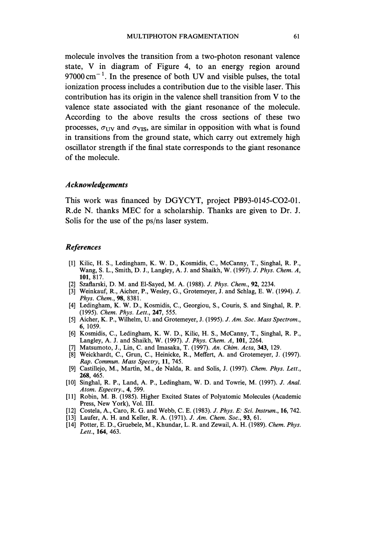molecule involves the transition from a two-photon resonant valence state, V in diagram of Figure 4, to an energy region around  $97000 \text{ cm}^{-1}$ . In the presence of both UV and visible pulses, the total ionization process includes a contribution due to the visible laser. This contribution has its origin in the valence shell transition from V to the valence state associated with the giant resonance of the molecule. According to the above results the cross sections of these two processes,  $\sigma_{UV}$  and  $\sigma_{VIS}$ , are similar in opposition with what is found in transitions from the ground state, which carry out extremely high oscillator strength if the final state corresponds to the giant resonance of the molecule.

## Acknowledgements

This work was financed by DGYCYT, project PB93-0145-CO2-01. R.de N. thanks MEC for <sup>a</sup> scholarship. Thanks are given to Dr. J. Solis for the use of the ps/ns laser system.

## References

- [1] Kilic, H. S., Ledingham, K. W. D., Kosmidis, C., McCanny, T., Singhal, R. P., Wang, S. L., Smith, D. J., Langley, A. J. and Shaikh, W. (1997). J. Phys. Chem. A, 101, 817.
- [2] Szaflarski, D. M. and El-Sayed, M. A. (1988). J. Phys. Chem., 92, 2234.
- [3] Weinkauf, R., Aicher, P., Wesley, G., Grotemeyer, J. and Schlag, E. W. (1994). J. Phys. Chem., 98, 8381.
- [4] Ledingham, K. W. D., Kosmidis, C., Georgiou, S., Couris, S. and Singhal, R. P. (1995). Chem. Phys. Lett., 247, 555.
- [5] Aicher, K. P., Wilhelm, U. and Grotemeyer, J. (1995). J. Am. Soc. Mass Spectrom., 6, 1059.
- [6] Kosmidis, C., Ledingham, K. W. D., Kilic, H. S., McCanny, T., Singhal, R. P., Langley, A. J. and Shaikh, W. (1997). J. Phys. Chem. A, 101, 2264.
- [7] Matsumoto, J., Lin, C. and Imasaka, T. (1997). An. Chim. Acta, 343, 129.
- [8] Weickhardt, C., Grun, C., Heinicke, R., Meffert, A. and Grotemeyer, J. (1997). Rap. Commun. Mass Spectry, 11, 745.
- [9] Castillejo, M., Martin, M., de Nalda, R. and Solis, J. (1997). Chem. Phys. Lett., 268, 465.
- [10] Singhal, R. P., Land, A. P., Ledingham, W. D. and Towrie, M. (1997). J. Anal. Atom. Espectry., 4, 599.
- [11] Robin, M. B. (1985). Higher Excited States of Polyatomic Molecules (Academic Press, New York), Vol. III.
- [12] Costela, A., Caro, R. G. and Webb, C. E. (1983). J. Phys. E: Sci. Instrum., 16, 742.
- [13] Laufer, A. H. and Keller, R. A. (1971). J. Am. Chem. Soc., 93, 61.
- [14] Potter, E. D., Gruebele, M., Khundar, L. R. and Zewail, A. H. (1989). Chem. Phys. Lett., 164, 463.